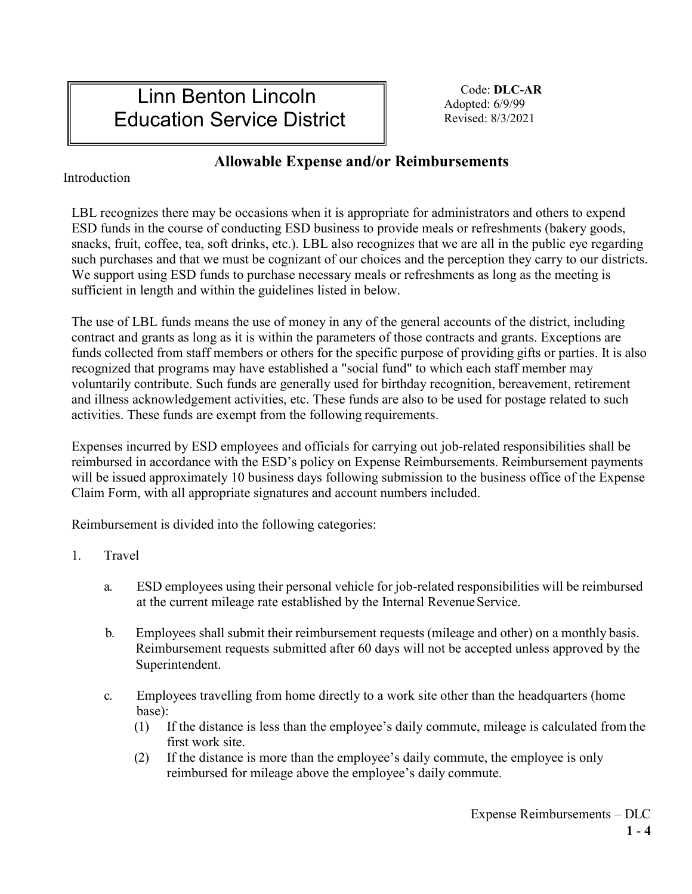# Linn Benton Lincoln Education Service District

Code: **DLC-AR** Adopted: 6/9/99 Revised: 8/3/2021

# **Allowable Expense and/or Reimbursements**

Introduction

LBL recognizes there may be occasions when it is appropriate for administrators and others to expend ESD funds in the course of conducting ESD business to provide meals or refreshments (bakery goods, snacks, fruit, coffee, tea, soft drinks, etc.). LBL also recognizes that we are all in the public eye regarding such purchases and that we must be cognizant of our choices and the perception they carry to our districts. We support using ESD funds to purchase necessary meals or refreshments as long as the meeting is sufficient in length and within the guidelines listed in below.

The use of LBL funds means the use of money in any of the general accounts of the district, including contract and grants as long as it is within the parameters of those contracts and grants. Exceptions are funds collected from staff members or others for the specific purpose of providing gifts or parties. It is also recognized that programs may have established a "social fund" to which each staff member may voluntarily contribute. Such funds are generally used for birthday recognition, bereavement, retirement and illness acknowledgement activities, etc. These funds are also to be used for postage related to such activities. These funds are exempt from the following requirements.

Expenses incurred by ESD employees and officials for carrying out job-related responsibilities shall be reimbursed in accordance with the ESD's policy on Expense Reimbursements. Reimbursement payments will be issued approximately 10 business days following submission to the business office of the Expense Claim Form, with all appropriate signatures and account numbers included.

Reimbursement is divided into the following categories:

- 1. Travel
	- a. ESD employees using their personal vehicle for job-related responsibilities will be reimbursed at the current mileage rate established by the Internal Revenue Service.
	- b. Employees shall submit their reimbursement requests (mileage and other) on a monthly basis. Reimbursement requests submitted after 60 days will not be accepted unless approved by the Superintendent.
	- c. Employees travelling from home directly to a work site other than the headquarters (home base):
		- (1) If the distance is less than the employee's daily commute, mileage is calculated from the first work site.
		- (2) If the distance is more than the employee's daily commute, the employee is only reimbursed for mileage above the employee's daily commute.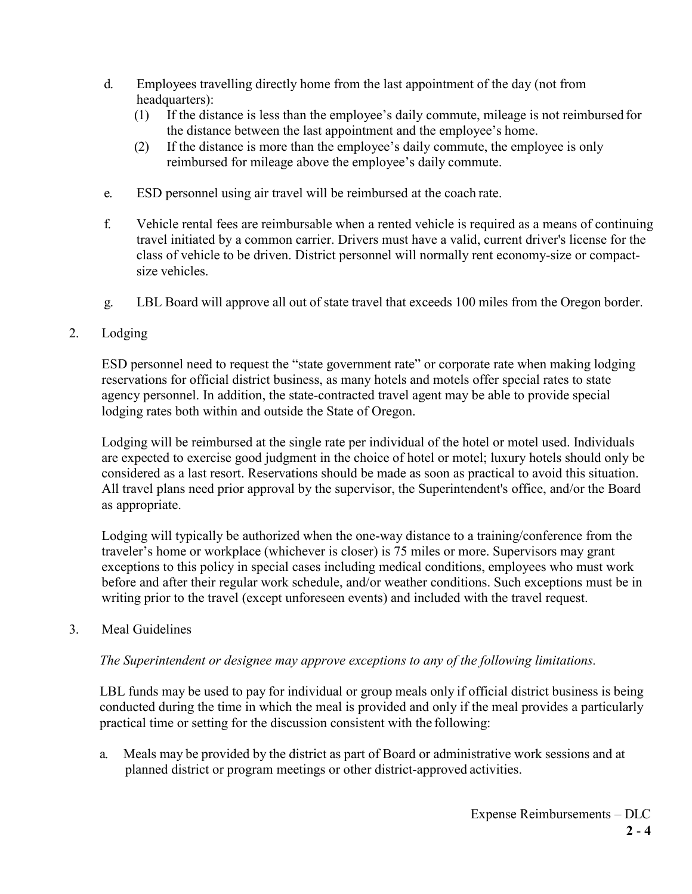- d. Employees travelling directly home from the last appointment of the day (not from headquarters):
	- (1) If the distance is less than the employee's daily commute, mileage is not reimbursed for the distance between the last appointment and the employee's home.
	- (2) If the distance is more than the employee's daily commute, the employee is only reimbursed for mileage above the employee's daily commute.
- e. ESD personnel using air travel will be reimbursed at the coach rate.
- f. Vehicle rental fees are reimbursable when a rented vehicle is required as a means of continuing travel initiated by a common carrier. Drivers must have a valid, current driver's license for the class of vehicle to be driven. District personnel will normally rent economy-size or compactsize vehicles.
- g. LBL Board will approve all out of state travel that exceeds 100 miles from the Oregon border.

## 2. Lodging

ESD personnel need to request the "state government rate" or corporate rate when making lodging reservations for official district business, as many hotels and motels offer special rates to state agency personnel. In addition, the state-contracted travel agent may be able to provide special lodging rates both within and outside the State of Oregon.

Lodging will be reimbursed at the single rate per individual of the hotel or motel used. Individuals are expected to exercise good judgment in the choice of hotel or motel; luxury hotels should only be considered as a last resort. Reservations should be made as soon as practical to avoid this situation. All travel plans need prior approval by the supervisor, the Superintendent's office, and/or the Board as appropriate.

Lodging will typically be authorized when the one-way distance to a training/conference from the traveler's home or workplace (whichever is closer) is 75 miles or more. Supervisors may grant exceptions to this policy in special cases including medical conditions, employees who must work before and after their regular work schedule, and/or weather conditions. Such exceptions must be in writing prior to the travel (except unforeseen events) and included with the travel request.

### 3. Meal Guidelines

### *The Superintendent or designee may approve exceptions to any of the following limitations.*

LBL funds may be used to pay for individual or group meals only if official district business is being conducted during the time in which the meal is provided and only if the meal provides a particularly practical time or setting for the discussion consistent with the following:

a. Meals may be provided by the district as part of Board or administrative work sessions and at planned district or program meetings or other district-approved activities.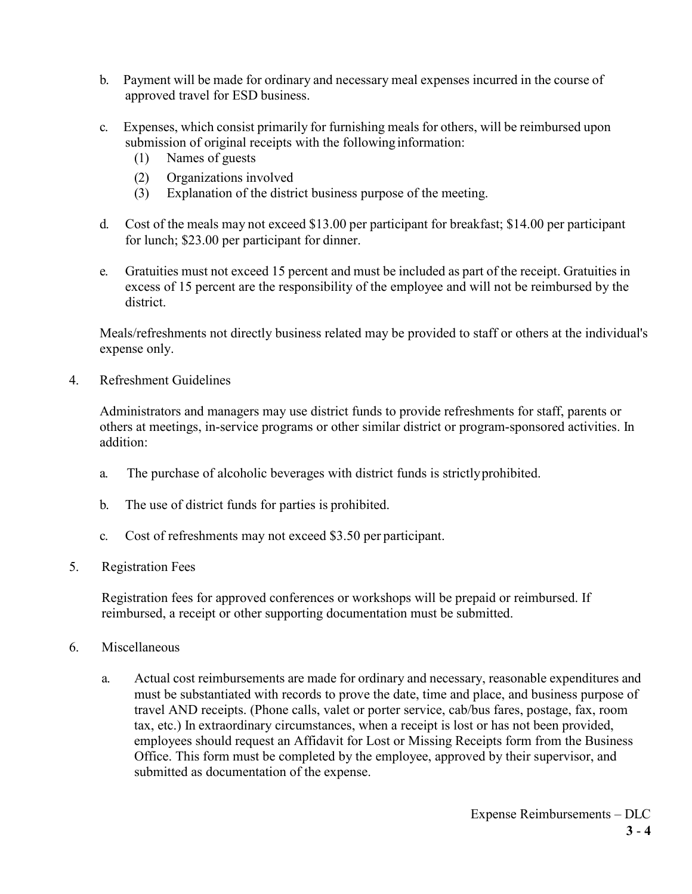- b. Payment will be made for ordinary and necessary meal expenses incurred in the course of approved travel for ESD business.
- c. Expenses, which consist primarily for furnishing meals for others, will be reimbursed upon submission of original receipts with the following information:
	- (1) Names of guests
	- (2) Organizations involved
	- (3) Explanation of the district business purpose of the meeting.
- d. Cost of the meals may not exceed \$13.00 per participant for breakfast; \$14.00 per participant for lunch; \$23.00 per participant for dinner.
- e. Gratuities must not exceed 15 percent and must be included as part of the receipt. Gratuities in excess of 15 percent are the responsibility of the employee and will not be reimbursed by the district.

Meals/refreshments not directly business related may be provided to staff or others at the individual's expense only.

4. Refreshment Guidelines

Administrators and managers may use district funds to provide refreshments for staff, parents or others at meetings, in-service programs or other similar district or program-sponsored activities. In addition:

- a. The purchase of alcoholic beverages with district funds is strictlyprohibited.
- b. The use of district funds for parties is prohibited.
- c. Cost of refreshments may not exceed \$3.50 per participant.
- 5. Registration Fees

Registration fees for approved conferences or workshops will be prepaid or reimbursed. If reimbursed, a receipt or other supporting documentation must be submitted.

- 6. Miscellaneous
	- a. Actual cost reimbursements are made for ordinary and necessary, reasonable expenditures and must be substantiated with records to prove the date, time and place, and business purpose of travel AND receipts. (Phone calls, valet or porter service, cab/bus fares, postage, fax, room tax, etc.) In extraordinary circumstances, when a receipt is lost or has not been provided, employees should request an Affidavit for Lost or Missing Receipts form from the Business Office. This form must be completed by the employee, approved by their supervisor, and submitted as documentation of the expense.